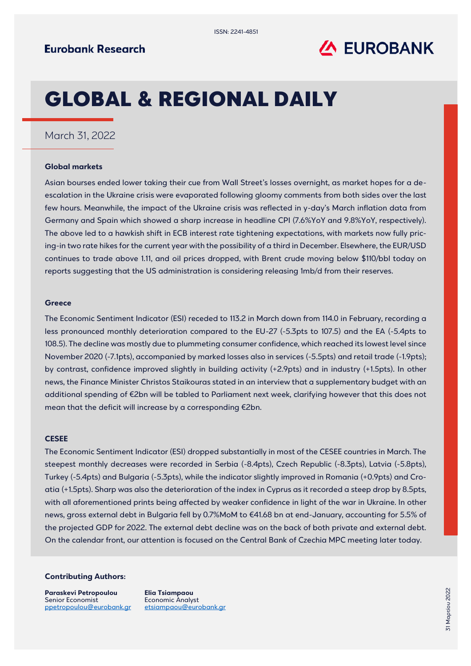

# GLOBAL & REGIONAL DAILY

## March 31, 2022

#### **Global markets**

Asian bourses ended lower taking their cue from Wall Street's losses overnight, as market hopes for a deescalation in the Ukraine crisis were evaporated following gloomy comments from both sides over the last few hours. Meanwhile, the impact of the Ukraine crisis was reflected in y-day's March inflation data from Germany and Spain which showed a sharp increase in headline CPI (7.6%YoY and 9.8%YoY, respectively). The above led to a hawkish shift in ECB interest rate tightening expectations, with markets now fully pricing-in two rate hikes for the current year with the possibility of a third in December. Elsewhere, the EUR/USD continues to trade above 1.11, and oil prices dropped, with Brent crude moving below \$110/bbl today on reports suggesting that the US administration is considering releasing 1mb/d from their reserves.

#### **Greece**

The Economic Sentiment Indicator (ESI) receded to 113.2 in March down from 114.0 in February, recording a less pronounced monthly deterioration compared to the EU-27 (-5.3pts to 107.5) and the EA (-5.4pts to 108.5). The decline was mostly due to plummeting consumer confidence, which reached its lowest level since November 2020 (-7.1pts), accompanied by marked losses also in services (-5.5pts) and retail trade (-1.9pts); by contrast, confidence improved slightly in building activity (+2.9pts) and in industry (+1.5pts). In other news, the Finance Minister Christos Staikouras stated in an interview that a supplementary budget with an additional spending of €2bn will be tabled to Parliament next week, clarifying however that this does not mean that the deficit will increase by a corresponding €2bn.

### **CESEE**

The Economic Sentiment Indicator (ESI) dropped substantially in most of the CESEE countries in March. The steepest monthly decreases were recorded in Serbia (-8.4pts), Czech Republic (-8.3pts), Latvia (-5.8pts), Turkey (-5.4pts) and Bulgaria (-5.3pts), while the indicator slightly improved in Romania (+0.9pts) and Croatia (+1.5pts). Sharp was also the deterioration of the index in Cyprus as it recorded a steep drop by 8.5pts, with all aforementioned prints being affected by weaker confidence in light of the war in Ukraine. In other news, gross external debt in Bulgaria fell by 0.7%MoM to €41.68 bn at end-January, accounting for 5.5% of the projected GDP for 2022. The external debt decline was on the back of both private and external debt. On the calendar front, our attention is focused on the Central Bank of Czechia MPC meeting later today.

#### **Contributing Authors:**

**Paraskevi Petropoulou** Senior Economist [ppetropoulou@eurobank.gr](mailto:ppetropoulou@eurobank.gr)

**Elia Tsiampaou** Economic Analyst [etsiampaou@eurobank.gr](mailto:etsiampaou@eurobank.gr)